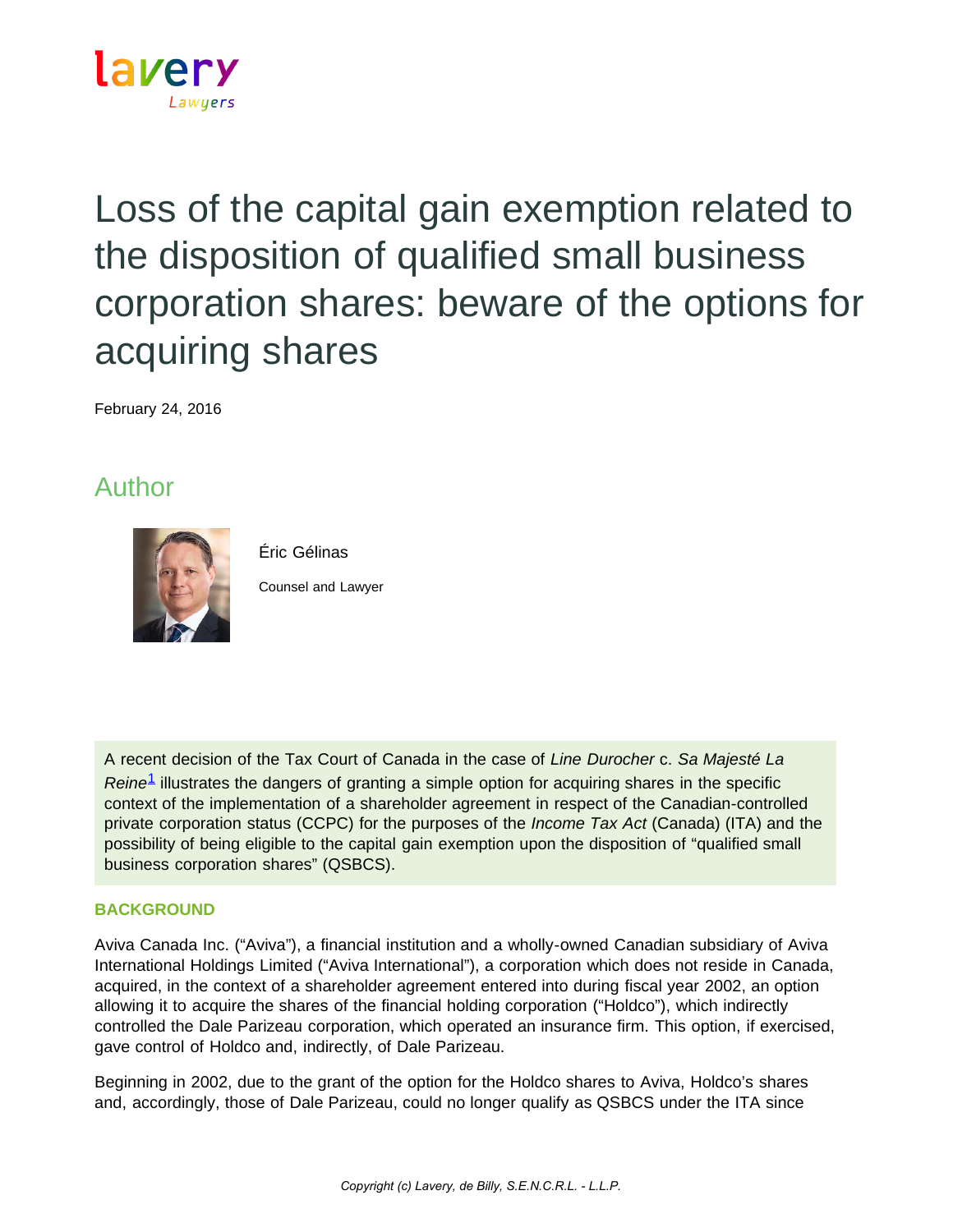

## Loss of the capital gain exemption related to the disposition of qualified small business corporation shares: beware of the options for acquiring shares

February 24, 2016

## Author



Éric Gélinas

Counsel and Lawyer

A recent decision of the Tax Court of Canada in the case of *Line Durocher* c. *Sa Majesté La Reine*[1](https://www.lavery.ca/en/publications/our-publications/1925-loss-of-the-capital-gain-exemption-related-to-the-disposition-of-qualified-small-business-corporation-shares-beware-of-the-options-for-acquiring-shares.html#01) illustrates the dangers of granting a simple option for acquiring shares in the specific context of the implementation of a shareholder agreement in respect of the Canadian-controlled private corporation status (CCPC) for the purposes of the *Income Tax Act* (Canada) (ITA) and the possibility of being eligible to the capital gain exemption upon the disposition of "qualified small business corporation shares" (QSBCS).

## **BACKGROUND**

Aviva Canada Inc. ("Aviva"), a financial institution and a wholly-owned Canadian subsidiary of Aviva International Holdings Limited ("Aviva International"), a corporation which does not reside in Canada, acquired, in the context of a shareholder agreement entered into during fiscal year 2002, an option allowing it to acquire the shares of the financial holding corporation ("Holdco"), which indirectly controlled the Dale Parizeau corporation, which operated an insurance firm. This option, if exercised, gave control of Holdco and, indirectly, of Dale Parizeau.

Beginning in 2002, due to the grant of the option for the Holdco shares to Aviva, Holdco's shares and, accordingly, those of Dale Parizeau, could no longer qualify as QSBCS under the ITA since